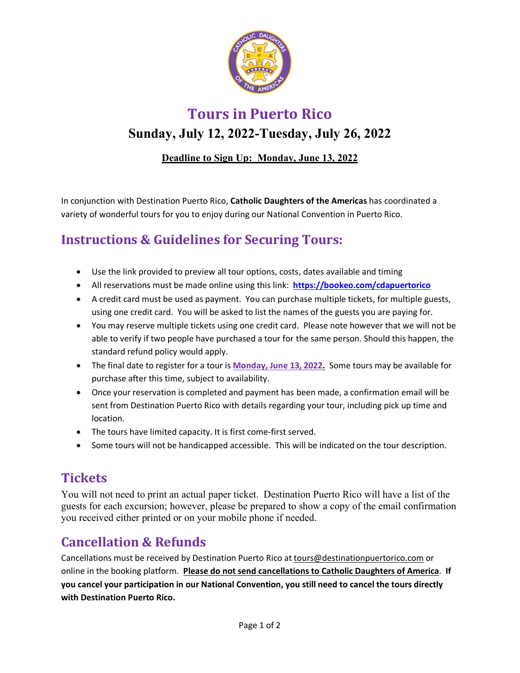

**Tours in Puerto Rico** 

# **Sunday, July 12, 2022-Tuesday, July 26, 2022**

### **Deadline to Sign Up: Monday, June 13, 2022**

In conjunction with Destination Puerto Rico, **Catholic Daughters of the Americas** has coordinated a variety of wonderful tours for you to enjoy during our National Convention in Puerto Rico.

# **Instructions & Guidelines for Securing Tours:**

- Use the link provided to preview all tour options, costs, dates available and timing
- All reservations must be made online using this link: **https://bookeo.com/cdapuertorico**
- A credit card must be used as payment. You can purchase multiple tickets, for multiple guests, using one credit card. You will be asked to list the names of the guests you are paying for.
- You may reserve multiple tickets using one credit card. Please note however that we will not be able to verify if two people have purchased a tour for the same person. Should this happen, the standard refund policy would apply.
- The final date to register for a tour is **Monday, June 13, 2022.** Some tours may be available for purchase after this time, subject to availability.
- Once your reservation is completed and payment has been made, a confirmation email will be sent from Destination Puerto Rico with details regarding your tour, including pick up time and location.
- The tours have limited capacity. It is first come-first served.
- Some tours will not be handicapped accessible. This will be indicated on the tour description.

# **Tickets**

You will not need to print an actual paper ticket. Destination Puerto Rico will have a list of the guests for each excursion; however, please be prepared to show a copy of the email confirmation you received either printed or on your mobile phone if needed.

# **Cancellation & Refunds**

Cancellations must be received by Destination Puerto Rico at tours@destinationpuertorico.com or online in the booking platform. **Please do not send cancellations to Catholic Daughters of America**. **If you cancel your participation in our National Convention, you still need to cancel the tours directly with Destination Puerto Rico.**